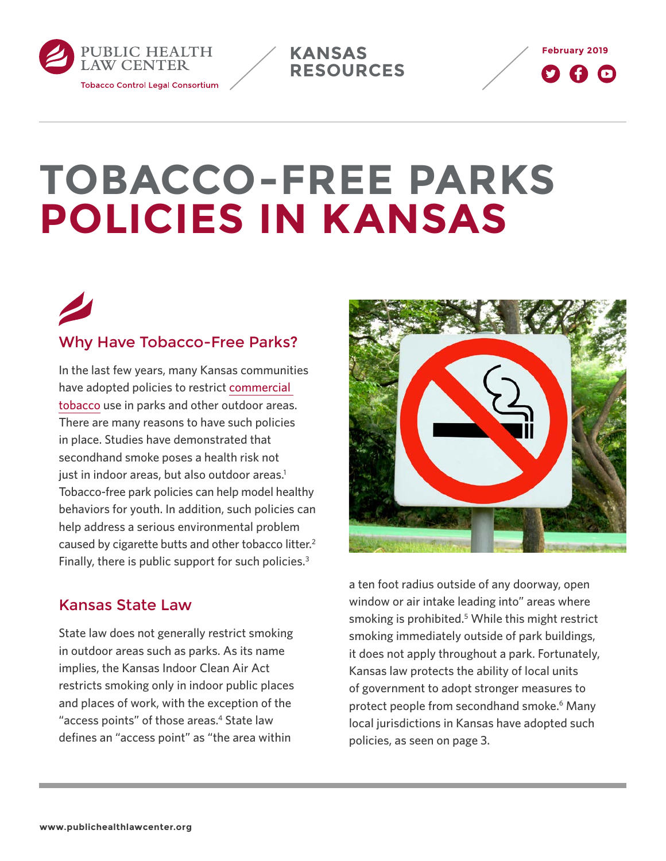<span id="page-0-0"></span>

**KANSAS RESOURCES**



# **TOBACCO-FREE PARKS POLICIES IN KANSAS**



### Why Have Tobacco-Free Parks?

In the last few years, many Kansas communities have adopted policies to restrict [commercial](http://keepitsacred.itcmi.org/tobacco-and-tradition/traditional-v-commercial/)  [tobacco](http://keepitsacred.itcmi.org/tobacco-and-tradition/traditional-v-commercial/) use in parks and other outdoor areas. There are many reasons to have such policies in place. Studies have demonstrated that secondhand smoke poses a health risk not just in indoor areas, but also outdoor areas.<sup>1</sup> Tobacco-free park policies can help model healthy behaviors for youth. In addition, such policies can help address a serious environmental problem caused by cigarette butts and other tobacco litter.[2](#page-6-0) Finally, there is public support for such policies.<sup>[3](#page-6-0)</sup>

#### Kansas State Law

State law does not generally restrict smoking in outdoor areas such as parks. As its name implies, the Kansas Indoor Clean Air Act restricts smoking only in indoor public places and places of work, with the exception of the "access points" of those areas.<sup>4</sup> State law defines an "access point" as "the area within



a ten foot radius outside of any doorway, open window or air intake leading into" areas where smoking is prohibited.<sup>[5](#page-6-0)</sup> While this might restrict smoking immediately outside of park buildings, it does not apply throughout a park. Fortunately, Kansas law protects the ability of local units of government to adopt stronger measures to protect people from secondhand smoke.<sup>6</sup> Many local jurisdictions in Kansas have adopted such policies, as seen on [page 3.](#page-2-0)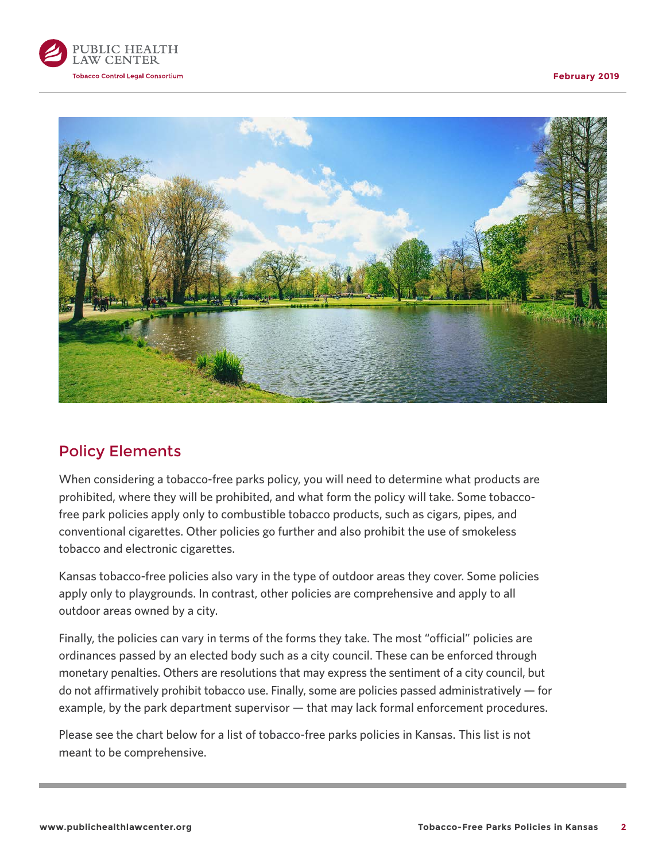



#### Policy Elements

When considering a tobacco-free parks policy, you will need to determine what products are prohibited, where they will be prohibited, and what form the policy will take. Some tobaccofree park policies apply only to combustible tobacco products, such as cigars, pipes, and conventional cigarettes. Other policies go further and also prohibit the use of smokeless tobacco and electronic cigarettes.

Kansas tobacco-free policies also vary in the type of outdoor areas they cover. Some policies apply only to playgrounds. In contrast, other policies are comprehensive and apply to all outdoor areas owned by a city.

Finally, the policies can vary in terms of the forms they take. The most "official" policies are ordinances passed by an elected body such as a city council. These can be enforced through monetary penalties. Others are resolutions that may express the sentiment of a city council, but do not affirmatively prohibit tobacco use. Finally, some are policies passed administratively — for example, by the park department supervisor — that may lack formal enforcement procedures.

Please see the chart below for a list of tobacco-free parks policies in Kansas. This list is not meant to be comprehensive.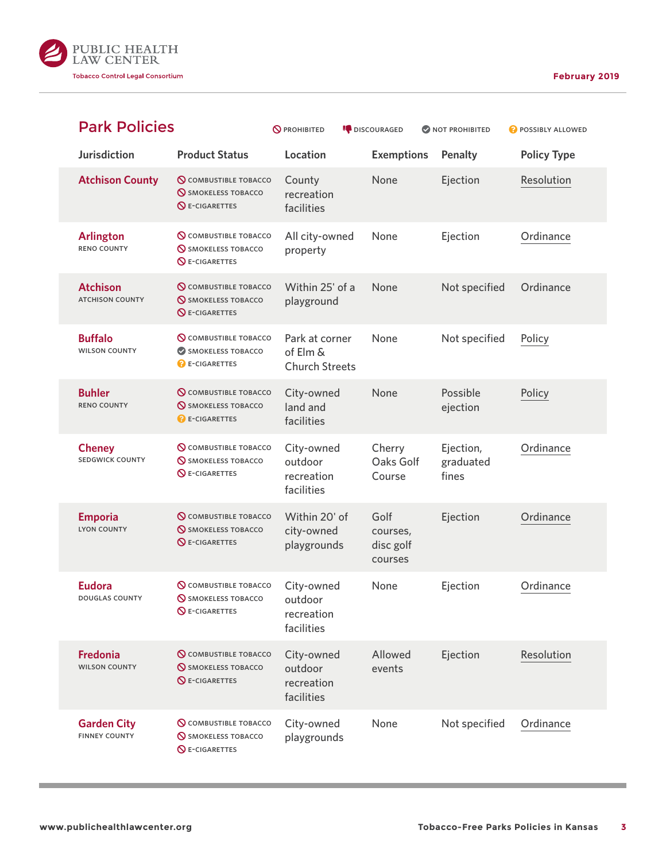

<span id="page-2-0"></span>

| <b>Park Policies</b>                       |                                                                                     | <b>O</b> PROHIBITED                                 | <b>DISCOURAGED</b>                       | NOT PROHIBITED                  | POSSIBLY ALLOWED   |
|--------------------------------------------|-------------------------------------------------------------------------------------|-----------------------------------------------------|------------------------------------------|---------------------------------|--------------------|
| <b>Jurisdiction</b>                        | <b>Product Status</b>                                                               | Location                                            | <b>Exemptions</b>                        | Penalty                         | <b>Policy Type</b> |
| <b>Atchison County</b>                     | <b>Q COMBUSTIBLE TOBACCO</b><br><b>SMOKELESS TOBACCO</b><br>$\bigcirc$ E-CIGARETTES | County<br>recreation<br>facilities                  | None                                     | Ejection                        | Resolution         |
| <b>Arlington</b><br><b>RENO COUNTY</b>     | <b>Q</b> COMBUSTIBLE TOBACCO<br><b>SMOKELESS TOBACCO</b><br><b>NE-CIGARETTES</b>    | All city-owned<br>property                          | None                                     | Ejection                        | Ordinance          |
| <b>Atchison</b><br><b>ATCHISON COUNTY</b>  | <b>Q</b> COMBUSTIBLE TOBACCO<br><b>SMOKELESS TOBACCO</b><br><b>QE-CIGARETTES</b>    | Within 25' of a<br>playground                       | None                                     | Not specified                   | Ordinance          |
| <b>Buffalo</b><br><b>WILSON COUNTY</b>     | <b>Q COMBUSTIBLE TOBACCO</b><br>SMOKELESS TOBACCO<br><b>B</b> E-CIGARETTES          | Park at corner<br>of Elm &<br><b>Church Streets</b> | None                                     | Not specified                   | Policy             |
| <b>Buhler</b><br><b>RENO COUNTY</b>        | <b>Q</b> COMBUSTIBLE TOBACCO<br><b>SMOKELESS TOBACCO</b><br><b>BE-CIGARETTES</b>    | City-owned<br>land and<br>facilities                | None                                     | Possible<br>ejection            | Policy             |
| <b>Cheney</b><br><b>SEDGWICK COUNTY</b>    | <b>Q</b> COMBUSTIBLE TOBACCO<br><b>SMOKELESS TOBACCO</b><br><b>QE-CIGARETTES</b>    | City-owned<br>outdoor<br>recreation<br>facilities   | Cherry<br>Oaks Golf<br>Course            | Ejection,<br>graduated<br>fines | Ordinance          |
| <b>Emporia</b><br><b>LYON COUNTY</b>       | <b>Q COMBUSTIBLE TOBACCO</b><br><b>SMOKELESS TOBACCO</b><br><b>QE-CIGARETTES</b>    | Within 20' of<br>city-owned<br>playgrounds          | Golf<br>courses,<br>disc golf<br>courses | Ejection                        | Ordinance          |
| <b>Eudora</b><br><b>DOUGLAS COUNTY</b>     | <b>Q COMBUSTIBLE TOBACCO</b><br><b>SMOKELESS TOBACCO</b><br><b>QE-CIGARETTES</b>    | City-owned<br>outdoor<br>recreation<br>facilities   | None                                     | Ejection                        | Ordinance          |
| <b>Fredonia</b><br><b>WILSON COUNTY</b>    | <b>Q COMBUSTIBLE TOBACCO</b><br><b>S</b> SMOKELESS TOBACCO<br><b>QE-CIGARETTES</b>  | City-owned<br>outdoor<br>recreation<br>facilities   | Allowed<br>events                        | Ejection                        | Resolution         |
| <b>Garden City</b><br><b>FINNEY COUNTY</b> | <b>Q</b> COMBUSTIBLE TOBACCO<br><b>SMOKELESS TOBACCO</b><br><b>QE-CIGARETTES</b>    | City-owned<br>playgrounds                           | None                                     | Not specified                   | Ordinance          |

a a s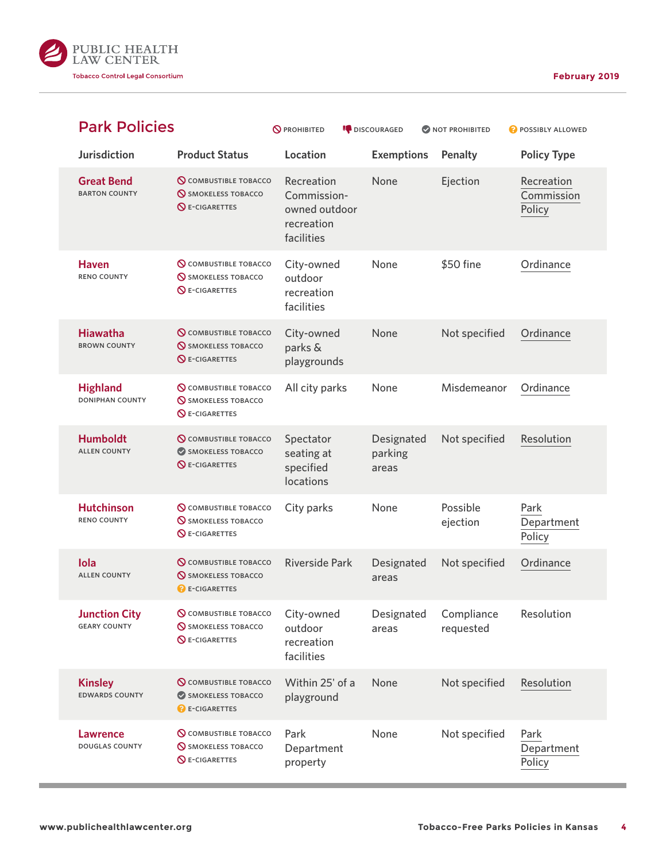

| <b>Park Policies</b>                        |                                                                                       | <b>O</b> PROHIBITED                                                    | <b>DISCOURAGED</b>             | <b>ONOT PROHIBITED</b>  | POSSIBLY ALLOWED                   |
|---------------------------------------------|---------------------------------------------------------------------------------------|------------------------------------------------------------------------|--------------------------------|-------------------------|------------------------------------|
| <b>Jurisdiction</b>                         | <b>Product Status</b>                                                                 | Location                                                               | <b>Exemptions</b>              | Penalty                 | <b>Policy Type</b>                 |
| <b>Great Bend</b><br><b>BARTON COUNTY</b>   | <b>Q COMBUSTIBLE TOBACCO</b><br><b>S</b> SMOKELESS TOBACCO<br>$\bigcirc$ E-CIGARETTES | Recreation<br>Commission-<br>owned outdoor<br>recreation<br>facilities | None                           | Ejection                | Recreation<br>Commission<br>Policy |
| <b>Haven</b><br><b>RENO COUNTY</b>          | <b>Q COMBUSTIBLE TOBACCO</b><br><b>SMOKELESS TOBACCO</b><br><b>QE-CIGARETTES</b>      | City-owned<br>outdoor<br>recreation<br>facilities                      | None                           | \$50 fine               | Ordinance                          |
| <b>Hiawatha</b><br><b>BROWN COUNTY</b>      | <b>Q COMBUSTIBLE TOBACCO</b><br><b>SMOKELESS TOBACCO</b><br><b>QE-CIGARETTES</b>      | City-owned<br>parks &<br>playgrounds                                   | None                           | Not specified           | Ordinance                          |
| <b>Highland</b><br><b>DONIPHAN COUNTY</b>   | <b>Q COMBUSTIBLE TOBACCO</b><br><b>S</b> SMOKELESS TOBACCO<br><b>QE-CIGARETTES</b>    | All city parks                                                         | None                           | Misdemeanor             | Ordinance                          |
| <b>Humboldt</b><br><b>ALLEN COUNTY</b>      | <b>Q</b> COMBUSTIBLE TOBACCO<br>SMOKELESS TOBACCO<br><b>QE-CIGARETTES</b>             | Spectator<br>seating at<br>specified<br>locations                      | Designated<br>parking<br>areas | Not specified           | Resolution                         |
| <b>Hutchinson</b><br><b>RENO COUNTY</b>     | <b>Q</b> COMBUSTIBLE TOBACCO<br><b>S</b> SMOKELESS TOBACCO<br>$\bigcirc$ E-CIGARETTES | City parks                                                             | None                           | Possible<br>ejection    | Park<br>Department<br>Policy       |
| Iola<br><b>ALLEN COUNTY</b>                 | <b>Q</b> COMBUSTIBLE TOBACCO<br><b>S</b> SMOKELESS TOBACCO<br><b>B</b> E-CIGARETTES   | <b>Riverside Park</b>                                                  | Designated<br>areas            | Not specified           | Ordinance                          |
| <b>Junction City</b><br><b>GEARY COUNTY</b> | <b>Q</b> COMBUSTIBLE TOBACCO<br><b>SMOKELESS TOBACCO</b><br><b>QE-CIGARETTES</b>      | City-owned<br>outdoor<br>recreation<br>facilities                      | Designated<br>areas            | Compliance<br>requested | Resolution                         |
| <b>Kinsley</b><br><b>EDWARDS COUNTY</b>     | <b>Q</b> COMBUSTIBLE TOBACCO<br>SMOKELESS TOBACCO<br><b>B</b> E-CIGARETTES            | Within 25' of a<br>playground                                          | None                           | Not specified           | Resolution                         |
| <b>Lawrence</b><br><b>DOUGLAS COUNTY</b>    | <b>Q COMBUSTIBLE TOBACCO</b><br><b>SMOKELESS TOBACCO</b><br><b>QE-CIGARETTES</b>      | Park<br>Department<br>property                                         | None                           | Not specified           | Park<br>Department<br>Policy       |

۳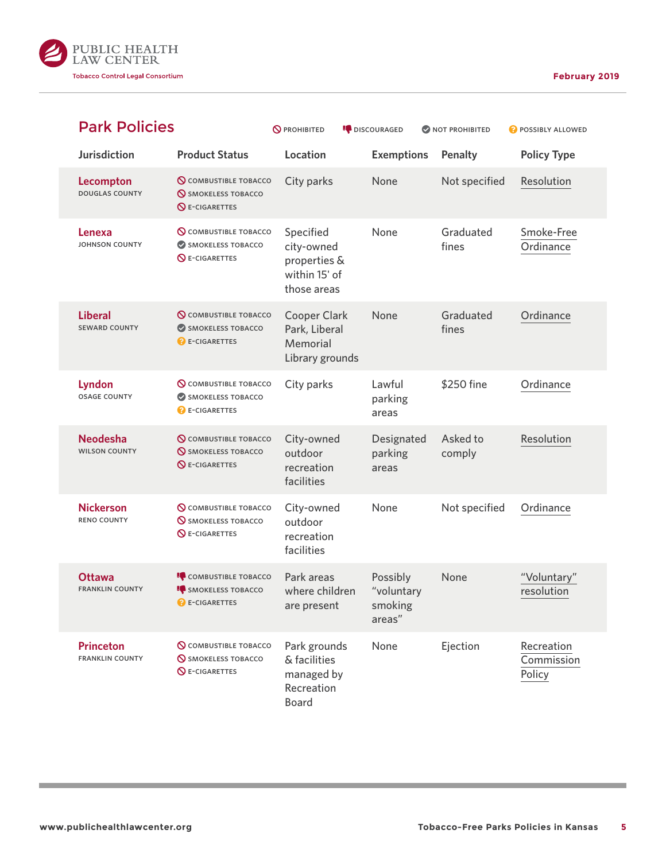

| <b>Park Policies</b>                       |                                                                                    | <b>O</b> PROHIBITED                                                     | <b>DISCOURAGED</b>                          | NOT PROHIBITED     | POSSIBLY ALLOWED                   |
|--------------------------------------------|------------------------------------------------------------------------------------|-------------------------------------------------------------------------|---------------------------------------------|--------------------|------------------------------------|
| <b>Jurisdiction</b>                        | <b>Product Status</b>                                                              | Location                                                                | <b>Exemptions</b>                           | <b>Penalty</b>     | <b>Policy Type</b>                 |
| Lecompton<br><b>DOUGLAS COUNTY</b>         | <b>Q</b> COMBUSTIBLE TOBACCO<br><b>SMOKELESS TOBACCO</b><br><b>QE-CIGARETTES</b>   | City parks                                                              | None                                        | Not specified      | Resolution                         |
| Lenexa<br>JOHNSON COUNTY                   | <b>Q COMBUSTIBLE TOBACCO</b><br>SMOKELESS TOBACCO<br><b>QE-CIGARETTES</b>          | Specified<br>city-owned<br>properties &<br>within 15' of<br>those areas | None                                        | Graduated<br>fines | Smoke-Free<br>Ordinance            |
| <b>Liberal</b><br><b>SEWARD COUNTY</b>     | <b>Q COMBUSTIBLE TOBACCO</b><br>SMOKELESS TOBACCO<br><b>B</b> E-CIGARETTES         | <b>Cooper Clark</b><br>Park, Liberal<br>Memorial<br>Library grounds     | None                                        | Graduated<br>fines | Ordinance                          |
| Lyndon<br><b>OSAGE COUNTY</b>              | <b>Q COMBUSTIBLE TOBACCO</b><br>SMOKELESS TOBACCO<br><b>B</b> E-CIGARETTES         | City parks                                                              | Lawful<br>parking<br>areas                  | \$250 fine         | Ordinance                          |
| <b>Neodesha</b><br><b>WILSON COUNTY</b>    | <b>Q COMBUSTIBLE TOBACCO</b><br><b>SMOKELESS TOBACCO</b><br><b>Q</b> E-CIGARETTES  | City-owned<br>outdoor<br>recreation<br>facilities                       | Designated<br>parking<br>areas              | Asked to<br>comply | Resolution                         |
| <b>Nickerson</b><br><b>RENO COUNTY</b>     | <b>Q</b> COMBUSTIBLE TOBACCO<br><b>SMOKELESS TOBACCO</b><br><b>QE-CIGARETTES</b>   | City-owned<br>outdoor<br>recreation<br>facilities                       | None                                        | Not specified      | Ordinance                          |
| <b>Ottawa</b><br><b>FRANKLIN COUNTY</b>    | <b>COMBUSTIBLE TOBACCO</b><br><b>IC</b> SMOKELESS TOBACCO<br><b>C</b> E-CIGARETTES | Park areas<br>where children<br>are present                             | Possibly<br>"voluntary<br>smoking<br>areas" | None               | "Voluntary"<br>resolution          |
| <b>Princeton</b><br><b>FRANKLIN COUNTY</b> | <b>Q</b> COMBUSTIBLE TOBACCO<br><b>SMOKELESS TOBACCO</b><br><b>Q</b> E-CIGARETTES  | Park grounds<br>& facilities<br>managed by<br>Recreation<br>Board       | None                                        | Ejection           | Recreation<br>Commission<br>Policy |

a a s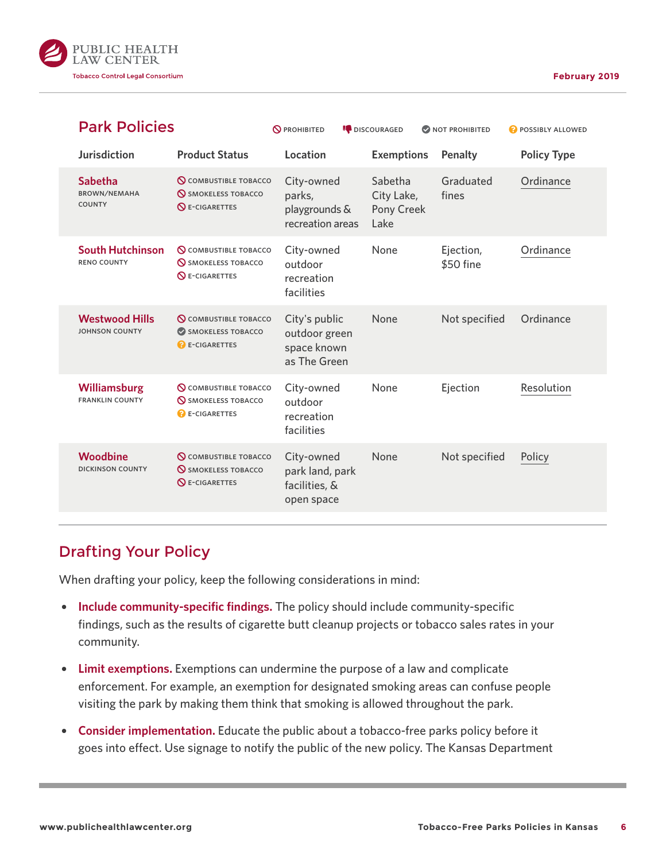

| <b>Park Policies</b>                                   |                                                                                            | <b>N</b> PROHIBITED                                           | <b>DISCOURAGED</b>                          | NOT PROHIBITED         | <b>POSSIBLY ALLOWED</b> |
|--------------------------------------------------------|--------------------------------------------------------------------------------------------|---------------------------------------------------------------|---------------------------------------------|------------------------|-------------------------|
| <b>Jurisdiction</b>                                    | <b>Product Status</b>                                                                      | Location                                                      | <b>Exemptions</b>                           | Penalty                | <b>Policy Type</b>      |
| <b>Sabetha</b><br><b>BROWN/NEMAHA</b><br><b>COUNTY</b> | <b>Q COMBUSTIBLE TOBACCO</b><br><b>SMOKELESS TOBACCO</b><br>$\mathsf{\Omega}$ E-CIGARETTES | City-owned<br>parks,<br>playgrounds &<br>recreation areas     | Sabetha<br>City Lake,<br>Pony Creek<br>Lake | Graduated<br>fines     | Ordinance               |
| <b>South Hutchinson</b><br><b>RENO COUNTY</b>          | <b>Q COMBUSTIBLE TOBACCO</b><br><b>S</b> SMOKELESS TOBACCO<br>$\bigcirc$ E-CIGARETTES      | City-owned<br>outdoor<br>recreation<br>facilities             | None                                        | Ejection,<br>\$50 fine | Ordinance               |
| <b>Westwood Hills</b><br><b>JOHNSON COUNTY</b>         | <b>Q COMBUSTIBLE TOBACCO</b><br>SMOKELESS TOBACCO<br><b>B</b> E-CIGARETTES                 | City's public<br>outdoor green<br>space known<br>as The Green | None                                        | Not specified          | Ordinance               |
| Williamsburg<br><b>FRANKLIN COUNTY</b>                 | <b>Q COMBUSTIBLE TOBACCO</b><br><b>N</b> SMOKELESS TOBACCO<br><b>B</b> E-CIGARETTES        | City-owned<br>outdoor<br>recreation<br>facilities             | None                                        | Ejection               | Resolution              |
| Woodbine<br><b>DICKINSON COUNTY</b>                    | <b>Q COMBUSTIBLE TOBACCO</b><br><b>S</b> SMOKELESS TOBACCO<br>$\bigcirc$ E-CIGARETTES      | City-owned<br>park land, park<br>facilities, &<br>open space  | None                                        | Not specified          | Policy                  |
|                                                        |                                                                                            |                                                               |                                             |                        |                         |

#### Drafting Your Policy

When drafting your policy, keep the following considerations in mind:

- **Include community-specific findings.** The policy should include community-specific findings, such as the results of cigarette butt cleanup projects or tobacco sales rates in your community.
- { **Limit exemptions.** Exemptions can undermine the purpose of a law and complicate enforcement. For example, an exemption for designated smoking areas can confuse people visiting the park by making them think that smoking is allowed throughout the park.
- **Consider implementation.** Educate the public about a tobacco-free parks policy before it goes into effect. Use signage to notify the public of the new policy. The Kansas Department